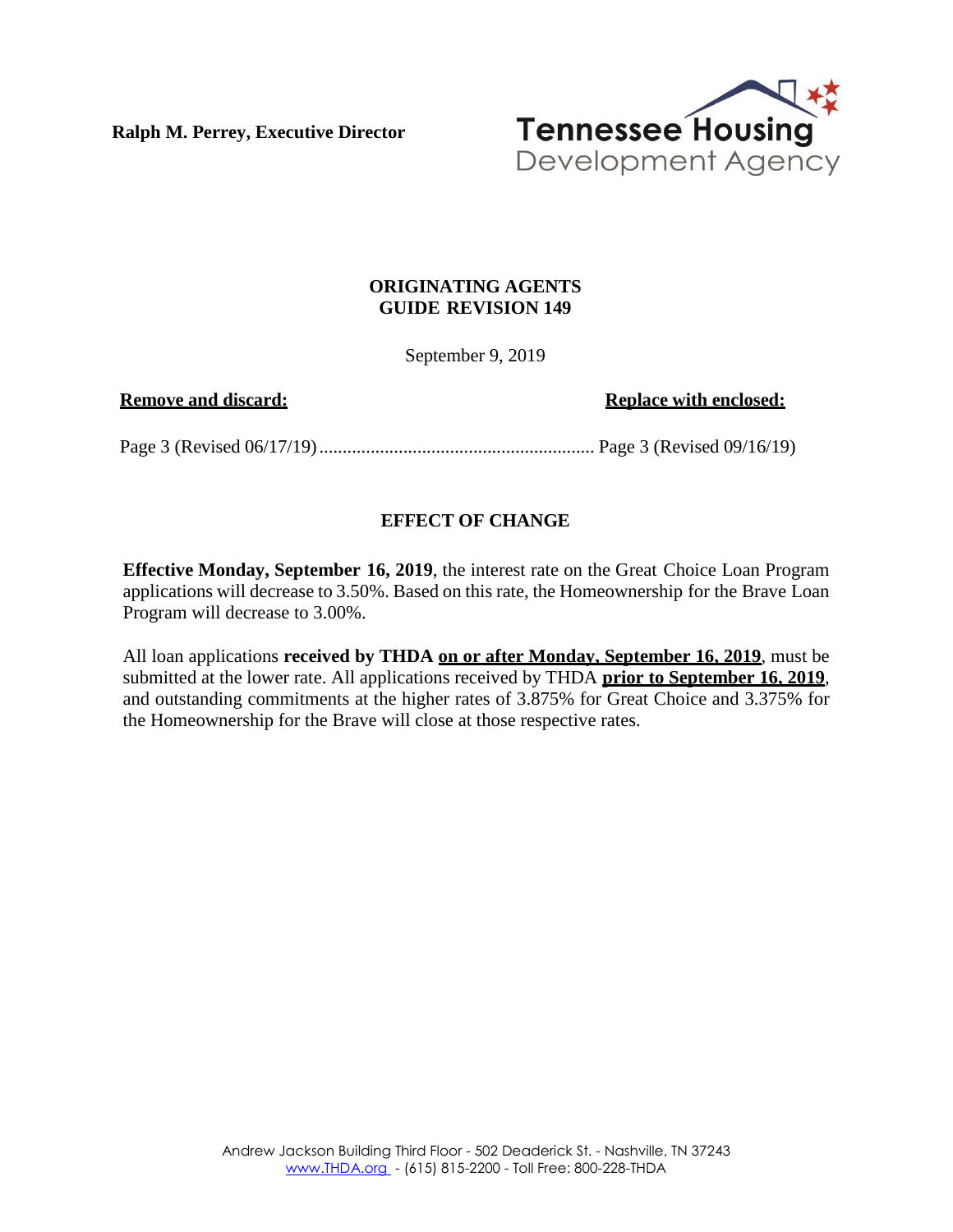**Ralph M. Perrey, Executive Director**



## **ORIGINATING AGENTS GUIDE REVISION 149**

September 9, 2019

**Remove** and discard: **Replace Replace** with **enclosed:** 

Page 3 (Revised 06/17/19)........................................................... Page 3 (Revised 09/16/19)

## **EFFECT OF CHANGE**

**Effective Monday, September 16, 2019**, the interest rate on the Great Choice Loan Program applications will decrease to 3.50%. Based on this rate, the Homeownership for the Brave Loan Program will decrease to 3.00%.

All loan applications **received by THDA on or after Monday, September 16, 2019**, must be submitted at the lower rate. All applications received by THDA **prior to September 16, 2019**, and outstanding commitments at the higher rates of 3.875% for Great Choice and 3.375% for the Homeownership for the Brave will close at those respective rates.